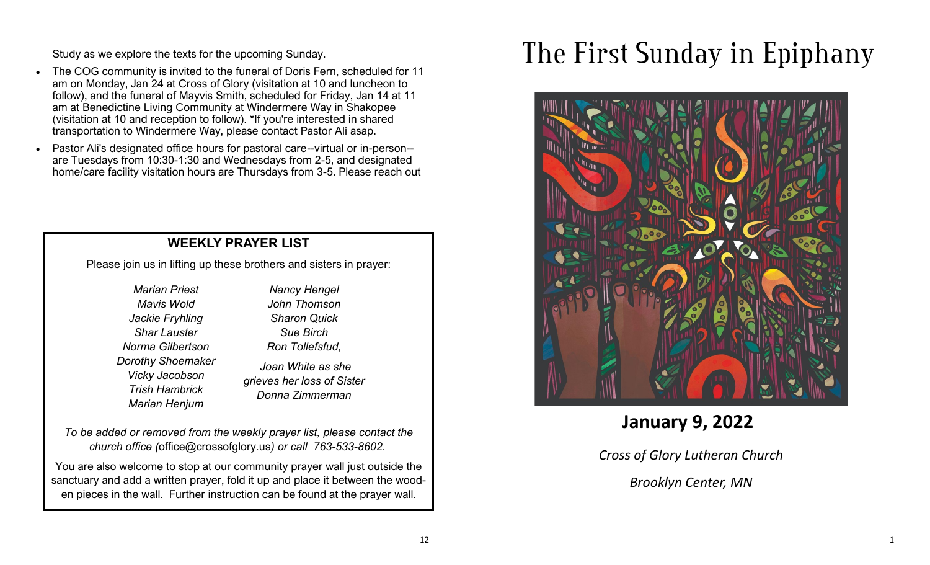Study as we explore the texts for the upcoming Sunday.

- The COG community is invited to the funeral of Doris Fern, scheduled for 11 am on Monday, Jan 24 at Cross of Glory (visitation at 10 and luncheon to follow), and the funeral of Mayvis Smith, scheduled for Friday, Jan 14 at 11 am at Benedictine Living Community at Windermere Way in Shakopee (visitation at 10 and reception to follow). \*If you're interested in shared transportation to Windermere Way, please contact Pastor Ali asap.
- Pastor Ali's designated office hours for pastoral care--virtual or in-person- are Tuesdays from 10:30-1:30 and Wednesdays from 2-5, and designated home/care facility visitation hours are Thursdays from 3-5. Please reach out

## **WEEKLY PRAYER LIST**

Please join us in lifting up these brothers and sisters in prayer:

*Marian Priest Mavis Wold Jackie Fryhling Shar Lauster Norma Gilbertson Dorothy Shoemaker Vicky Jacobson Trish Hambrick Marian Henjum*

*Nancy Hengel John Thomson Sharon Quick Sue Birch Ron Tollefsfud,* 

*Joan White as she grieves her loss of Sister Donna Zimmerman*

*To be added or removed from the weekly prayer list, please contact the church office (*[office@crossofglory.us](mailto:office@crossofglory.us)*) or call 763-533-8602.*

You are also welcome to stop at our community prayer wall just outside the sanctuary and add a written prayer, fold it up and place it between the wooden pieces in the wall. Further instruction can be found at the prayer wall.

# The First Sunday in Epiphany



**January 9, 2022**

*Cross of Glory Lutheran Church*

*Brooklyn Center, MN*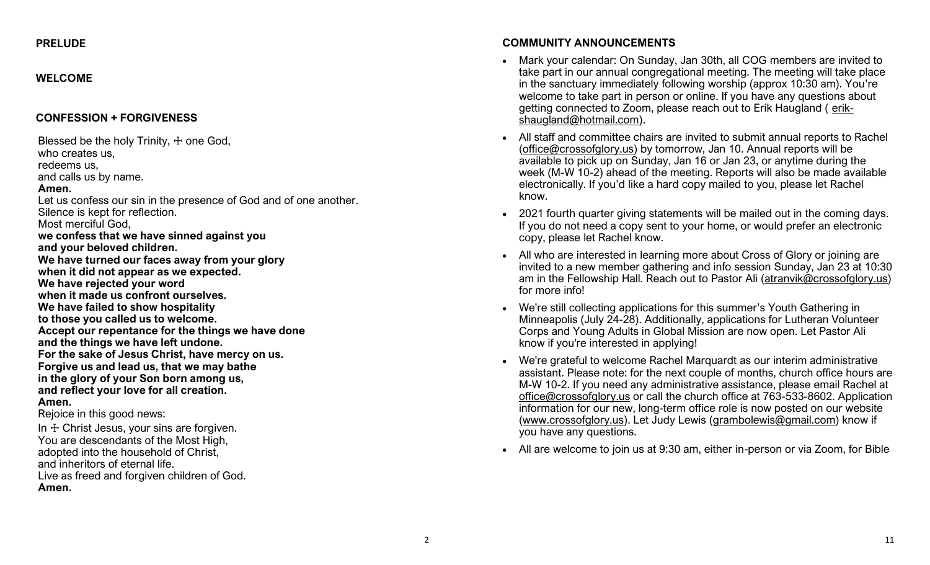#### **PRELUDE**

#### **WELCOME**

#### **CONFESSION + FORGIVENESS**

Blessed be the holy Trinity,  $+$  one God, who creates us, redeems us, and calls us by name. **Amen.** Let us confess our sin in the presence of God and of one another. Silence is kept for reflection. Most merciful God, **we confess that we have sinned against you and your beloved children. We have turned our faces away from your glory when it did not appear as we expected. We have rejected your word when it made us confront ourselves. We have failed to show hospitality to those you called us to welcome. Accept our repentance for the things we have done and the things we have left undone. For the sake of Jesus Christ, have mercy on us. Forgive us and lead us, that we may bathe in the glory of your Son born among us, and reflect your love for all creation. Amen.**

Rejoice in this good news:

In  $+$  Christ Jesus, your sins are forgiven. You are descendants of the Most High, adopted into the household of Christ, and inheritors of eternal life. Live as freed and forgiven children of God. **Amen.**

### **COMMUNITY ANNOUNCEMENTS**

- Mark your calendar: On Sunday, Jan 30th, all COG members are invited to take part in our annual congregational meeting. The meeting will take place in the sanctuary immediately following worship (approx 10:30 am). You're welcome to take part in person or online. If you have any questions about getting connected to Zoom, please reach out to Erik Haugland ( [erik](mailto:erikshaugland@hotmail.com)[shaugland@hotmail.com\).](mailto:erikshaugland@hotmail.com)
- All staff and committee chairs are invited to submit annual reports to Rachel [\(office@crossofglory.us\)](mailto:office@crossofglory.us) by tomorrow, Jan 10. Annual reports will be available to pick up on Sunday, Jan 16 or Jan 23, or anytime during the week (M-W 10-2) ahead of the meeting. Reports will also be made available electronically. If you'd like a hard copy mailed to you, please let Rachel know.
- 2021 fourth quarter giving statements will be mailed out in the coming days. If you do not need a copy sent to your home, or would prefer an electronic copy, please let Rachel know.
- All who are interested in learning more about Cross of Glory or joining are invited to a new member gathering and info session Sunday, Jan 23 at 10:30 am in the Fellowship Hall. Reach out to Pastor Ali ([atranvik@crossofglory.us\)](mailto:atranvik@crossofglory.us) for more info!
- We're still collecting applications for this summer's Youth Gathering in Minneapolis (July 24-28). Additionally, applications for Lutheran Volunteer Corps and Young Adults in Global Mission are now open. Let Pastor Ali know if you're interested in applying!
- We're grateful to welcome Rachel Marquardt as our interim administrative assistant. Please note: for the next couple of months, church office hours are M-W 10-2. If you need any administrative assistance, please email Rachel at [office@crossofglory.us](mailto:office@crossofglory.us) or call the church office at 763-533-8602. Application information for our new, long-term office role is now posted on our website [\(www.crossofglory.us\)](http://www.crossofglory.us/). Let Judy Lewis ([grambolewis@gmail.com\)](mailto:grambolewis@gmail.com) know if you have any questions.
- All are welcome to join us at 9:30 am, either in-person or via Zoom, for Bible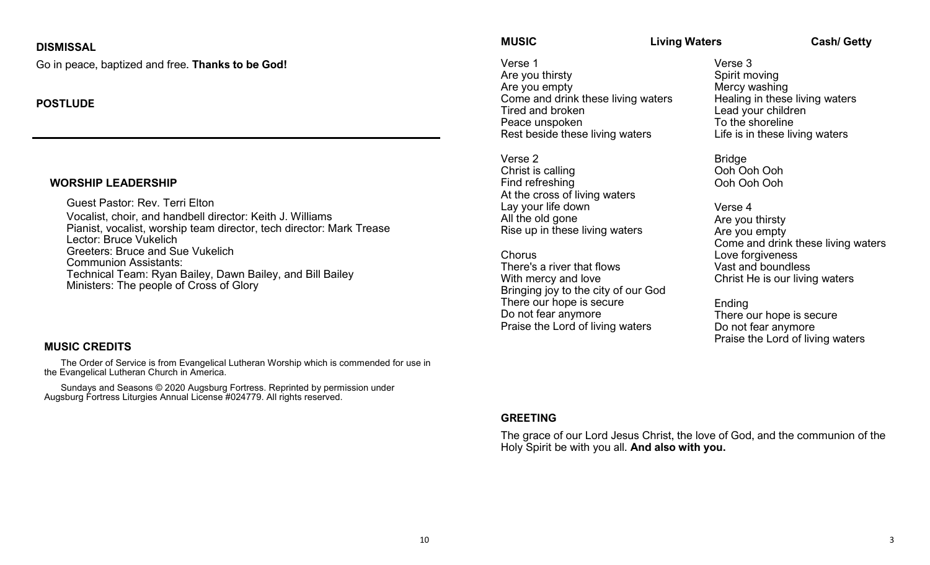### **DISMISSAL**

Go in peace, baptized and free. **Thanks to be God!**

### **POSTLUDE**

#### **WORSHIP LEADERSHIP**

Guest Pastor: Rev. Terri Elton Vocalist, choir, and handbell director: Keith J. Williams Pianist, vocalist, worship team director, tech director: Mark Trease Lector: Bruce Vukelich Greeters: Bruce and Sue Vukelich Communion Assistants: Technical Team: Ryan Bailey, Dawn Bailey, and Bill Bailey Ministers: The people of Cross of Glory

#### **MUSIC CREDITS**

The Order of Service is from Evangelical Lutheran Worship which is commended for use in the Evangelical Lutheran Church in America.

Sundays and Seasons © 2020 Augsburg Fortress. Reprinted by permission under Augsburg Fortress Liturgies Annual License #024779. All rights reserved.

**MUSIC Living Waters Cash/ Getty**

Verse 1 Are you thirsty Are you empty Come and drink these living waters Tired and broken Peace unspoken Rest beside these living waters

Verse 2 Christ is calling Find refreshing At the cross of living waters Lay your life down All the old gone Rise up in these living waters

**Chorus** There's a river that flows With mercy and love Bringing joy to the city of our God There our hope is secure Do not fear anymore Praise the Lord of living waters

Verse 3 Spirit moving Mercy washing Healing in these living waters Lead your children To the shoreline Life is in these living waters

Bridge Ooh Ooh Ooh Ooh Ooh Ooh

Verse 4 Are you thirsty Are you empty Come and drink these living waters Love forgiveness Vast and boundless Christ He is our living waters

Ending There our hope is secure Do not fear anymore Praise the Lord of living waters

#### **GREETING**

The grace of our Lord Jesus Christ, the love of God, and the communion of the Holy Spirit be with you all. **And also with you.**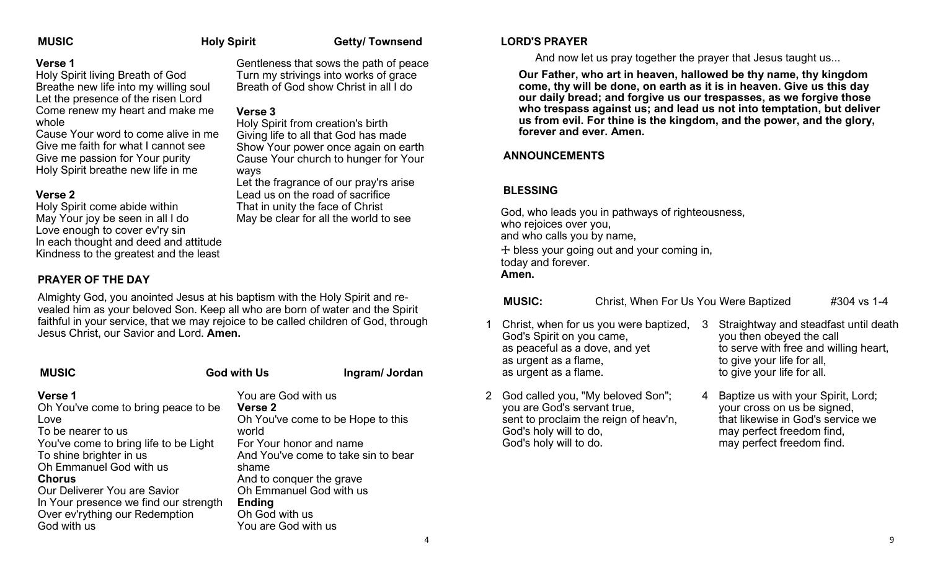**Verse 3**

ways

**MUSIC** Holy Spirit Getty/ Townsend

Gentleness that sows the path of peace Turn my strivings into works of grace Breath of God show Christ in all I do

Holy Spirit from creation's birth Giving life to all that God has made Show Your power once again on earth Cause Your church to hunger for Your

Let the fragrance of our pray'rs arise Lead us on the road of sacrifice That in unity the face of Christ May be clear for all the world to see

#### **Verse 1**

Holy Spirit living Breath of God Breathe new life into my willing soul Let the presence of the risen Lord Come renew my heart and make me whole

Cause Your word to come alive in me Give me faith for what I cannot see Give me passion for Your purity Holy Spirit breathe new life in me

#### **Verse 2**

Holy Spirit come abide within May Your joy be seen in all I do Love enough to cover ev'ry sin In each thought and deed and attitude Kindness to the greatest and the least

### **PRAYER OF THE DAY**

Almighty God, you anointed Jesus at his baptism with the Holy Spirit and revealed him as your beloved Son. Keep all who are born of water and the Spirit faithful in your service, that we may rejoice to be called children of God, through Jesus Christ, our Savior and Lord. **Amen.**

#### **MUSIC** God with Us Ingram/ Jordan **MUSIC**

#### **Verse 1**

Oh You've come to bring peace to be Love To be nearer to us You've come to bring life to be Light To shine brighter in us Oh Emmanuel God with us **Chorus** Our Deliverer You are Savior In Your presence we find our strength Over ev'rything our Redemption God with us

### **Verse 2** Oh You've come to be Hope to this world For Your honor and name

You are God with us

You are God with us

And You've come to take sin to bear shame And to conquer the grave Oh Emmanuel God with us **Ending** Oh God with us

#### **LORD'S PRAYER**

And now let us pray together the prayer that Jesus taught us...

**Our Father, who art in heaven, hallowed be thy name, thy kingdom come, thy will be done, on earth as it is in heaven. Give us this day our daily bread; and forgive us our trespasses, as we forgive those who trespass against us; and lead us not into temptation, but deliver us from evil. For thine is the kingdom, and the power, and the glory, forever and ever. Amen.**

### **ANNOUNCEMENTS**

#### **BLESSING**

God, who leads you in pathways of righteousness, who rejoices over you. and who calls you by name, ☩ bless your going out and your coming in, today and forever. **Amen.**

#### **MUSIC:** Christ, When For Us You Were Baptized #304 vs 1-4

- 1 Christ, when for us you were baptized, God's Spirit on you came, as peaceful as a dove, and yet as urgent as a flame, as urgent as a flame.
- 2 God called you, "My beloved Son"; you are God's servant true, sent to proclaim the reign of heav'n, God's holy will to do, God's holy will to do.
- 3 Straightway and steadfast until death you then obeyed the call to serve with free and willing heart, to give your life for all, to give your life for all.
- 4 Baptize us with your Spirit, Lord; your cross on us be signed, that likewise in God's service we may perfect freedom find, may perfect freedom find.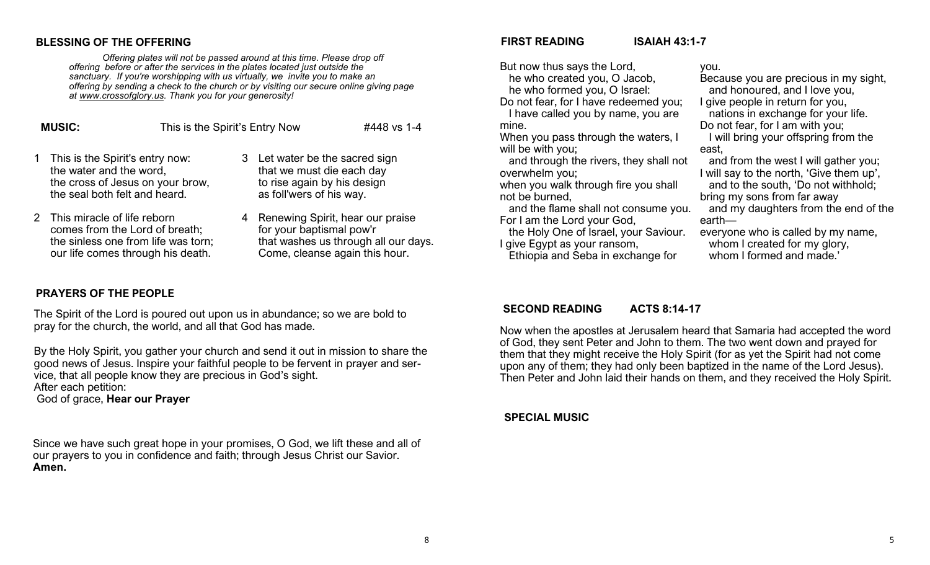#### **BLESSING OF THE OFFERING**

*Offering plates will not be passed around at this time. Please drop off offering before or after the services in the plates located just outside the sanctuary. If you're worshipping with us virtually, we invite you to make an offering by sending a check to the church or by visiting our secure online giving page at [www.crossofglory.us.](http://www.crossofglory.us/) Thank you for your generosity!*

| <b>MUSIC:</b> |                                                                                                                                   | This is the Spirit's Entry Now | #448 vs 1-4                                                                                                            |  |
|---------------|-----------------------------------------------------------------------------------------------------------------------------------|--------------------------------|------------------------------------------------------------------------------------------------------------------------|--|
|               | 1 This is the Spirit's entry now:<br>the water and the word,<br>the cross of Jesus on your brow,<br>the seal both felt and heard. |                                | 3 Let water be the sacred sign<br>that we must die each day<br>to rise again by his design<br>as foll'wers of his way. |  |

- 2 This miracle of life reborn comes from the Lord of breath; the sinless one from life was torn; our life comes through his death.
- 4 Renewing Spirit, hear our praise for your baptismal pow'r that washes us through all our days. Come, cleanse again this hour.

#### **PRAYERS OF THE PEOPLE**

The Spirit of the Lord is poured out upon us in abundance; so we are bold to pray for the church, the world, and all that God has made.

By the Holy Spirit, you gather your church and send it out in mission to share the good news of Jesus. Inspire your faithful people to be fervent in prayer and service, that all people know they are precious in God's sight. After each petition:

God of grace, **Hear our Prayer**

Since we have such great hope in your promises, O God, we lift these and all of our prayers to you in confidence and faith; through Jesus Christ our Savior. **Amen.**

#### **FIRST READING ISAIAH 43:1-7**

But now thus says the Lord, he who created you, O Jacob, he who formed you, O Israel:

Do not fear, for I have redeemed you; I have called you by name, you are mine.

When you pass through the waters, I will be with you:

 and through the rivers, they shall not overwhelm you;

when you walk through fire you shall not be burned,

 and the flame shall not consume you. For I am the Lord your God,

 the Holy One of Israel, your Saviour. I give Egypt as your ransom,

Ethiopia and Seba in exchange for

you.

Because you are precious in my sight, and honoured, and I love you, I give people in return for you,

 nations in exchange for your life. Do not fear, for I am with you;

 I will bring your offspring from the east,

 and from the west I will gather you; I will say to the north, 'Give them up',

 and to the south, 'Do not withhold; bring my sons from far away

 and my daughters from the end of the earth—

everyone who is called by my name, whom I created for my glory,

whom I formed and made.'

#### **SECOND READING ACTS 8:14-17**

Now when the apostles at Jerusalem heard that Samaria had accepted the word of God, they sent Peter and John to them. The two went down and prayed for them that they might receive the Holy Spirit (for as yet the Spirit had not come upon any of them; they had only been baptized in the name of the Lord Jesus). Then Peter and John laid their hands on them, and they received the Holy Spirit.

#### **SPECIAL MUSIC**